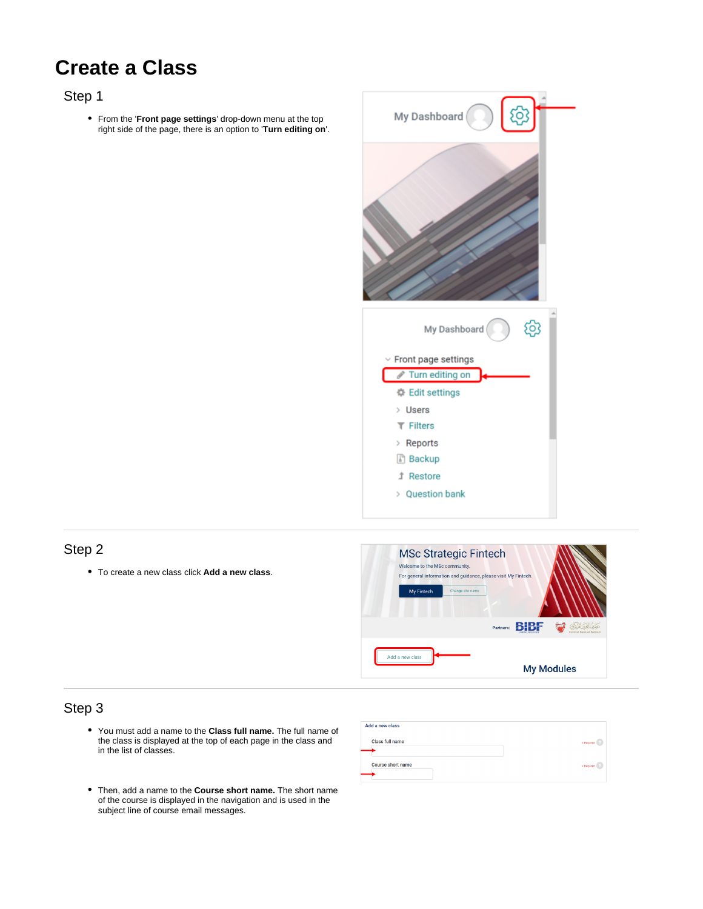# **Create a Class**

## Step 1

From the '**Front page settings**' drop-down menu at the top right side of the page, there is an option to '**Turn editing on**'.



### Step 2

To create a new class click **Add a new class**.



## Step 3

- $\bullet$ You must add a name to the **Class full name.** The full name of the class is displayed at the top of each page in the class and in the list of classes.
- Then, add a name to the **Course short name.** The short name of the course is displayed in the navigation and is used in the subject line of course email messages.

| Add a new class          |            |
|--------------------------|------------|
| <b>Class full name</b>   | * Required |
| <b>Course short name</b> |            |
|                          | * Required |